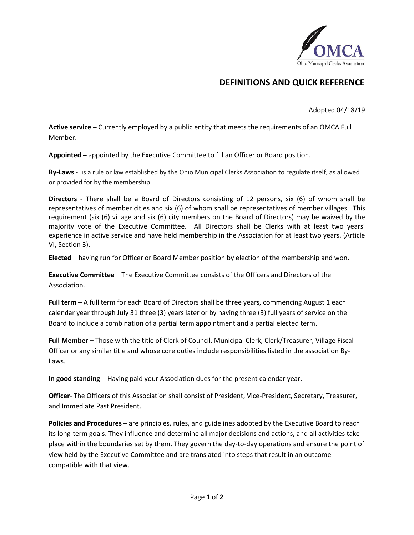

## **DEFINITIONS AND QUICK REFERENCE**

Adopted 04/18/19

**Active service** – Currently employed by a public entity that meets the requirements of an OMCA Full Member.

**Appointed –** appointed by the Executive Committee to fill an Officer or Board position.

**By-Laws** - is a rule or law established by the Ohio Municipal Clerks Association to regulate itself, as allowed or provided for by the membership.

**Directors** - There shall be a Board of Directors consisting of 12 persons, six (6) of whom shall be representatives of member cities and six (6) of whom shall be representatives of member villages. This requirement (six (6) village and six (6) city members on the Board of Directors) may be waived by the majority vote of the Executive Committee. All Directors shall be Clerks with at least two years' experience in active service and have held membership in the Association for at least two years. (Article VI, Section 3).

**Elected** – having run for Officer or Board Member position by election of the membership and won.

**Executive Committee** – The Executive Committee consists of the Officers and Directors of the Association.

**Full term** – A full term for each Board of Directors shall be three years, commencing August 1 each calendar year through July 31 three (3) years later or by having three (3) full years of service on the Board to include a combination of a partial term appointment and a partial elected term.

**Full Member –** Those with the title of Clerk of Council, Municipal Clerk, Clerk/Treasurer, Village Fiscal Officer or any similar title and whose core duties include responsibilities listed in the association By-Laws.

**In good standing** - Having paid your Association dues for the present calendar year.

**Officer**- The Officers of this Association shall consist of President, Vice-President, Secretary, Treasurer, and Immediate Past President.

**Policies and Procedures** – are principles, rules, and guidelines adopted by the Executive Board to reach its long-term goals. They influence and determine all major decisions and actions, and all activities take place within the boundaries set by them. They govern the day-to-day operations and ensure the point of view held by the Executive Committee and are translated into steps that result in an outcome compatible with that view.